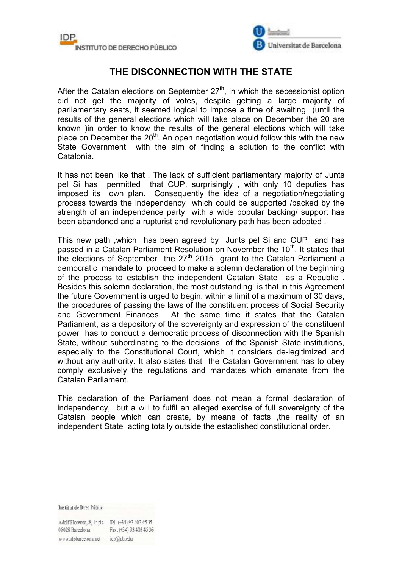



## **THE DISCONNECTION WITH THE STATE**

After the Catalan elections on September  $27<sup>th</sup>$ , in which the secessionist option did not get the majority of votes, despite getting a large majority of parliamentary seats, it seemed logical to impose a time of awaiting (until the results of the general elections which will take place on December the 20 are known )in order to know the results of the general elections which will take place on December the  $20<sup>th</sup>$ . An open negotiation would follow this with the new State Government with the aim of finding a solution to the conflict with Catalonia.

It has not been like that . The lack of sufficient parliamentary majority of Junts pel Si has permitted that CUP, surprisingly , with only 10 deputies has imposed its own plan. Consequently the idea of a negotiation/negotiating process towards the independency which could be supported /backed by the strength of an independence party with a wide popular backing/ support has been abandoned and a rupturist and revolutionary path has been adopted .

This new path ,which has been agreed by Junts pel Si and CUP and has passed in a Catalan Parliament Resolution on November the 10<sup>th</sup>. It states that the elections of September the  $27<sup>th</sup>$  2015 grant to the Catalan Parliament a democratic mandate to proceed to make a solemn declaration of the beginning of the process to establish the independent Catalan State as a Republic . Besides this solemn declaration, the most outstanding is that in this Agreement the future Government is urged to begin, within a limit of a maximum of 30 days, the procedures of passing the laws of the constituent process of Social Security and Government Finances. At the same time it states that the Catalan Parliament, as a depository of the sovereignty and expression of the constituent power has to conduct a democratic process of disconnection with the Spanish State, without subordinating to the decisions of the Spanish State institutions, especially to the Constitutional Court, which it considers de-legitimized and without any authority. It also states that the Catalan Government has to obey comply exclusively the regulations and mandates which emanate from the Catalan Parliament.

This declaration of the Parliament does not mean a formal declaration of independency, but a will to fulfil an alleged exercise of full sovereignty of the Catalan people which can create, by means of facts ,the reality of an independent State acting totally outside the established constitutional order.

**Institut de Dret Públic** 

Adolf Florensa, 8, Ir pis Tel. (+34) 93 403 45 35 08028 Barcelona Fax. (+34) 93 403 45 36 www.idpbarcelona.net idp@ub.edu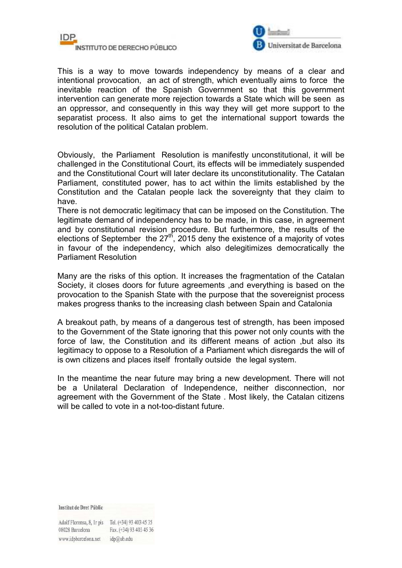



This is a way to move towards independency by means of a clear and intentional provocation, an act of strength, which eventually aims to force the inevitable reaction of the Spanish Government so that this government intervention can generate more rejection towards a State which will be seen as an oppressor, and consequently in this way they will get more support to the separatist process. It also aims to get the international support towards the resolution of the political Catalan problem.

Obviously, the Parliament Resolution is manifestly unconstitutional, it will be challenged in the Constitutional Court, its effects will be immediately suspended and the Constitutional Court will later declare its unconstitutionality. The Catalan Parliament, constituted power, has to act within the limits established by the Constitution and the Catalan people lack the sovereignty that they claim to have.

There is not democratic legitimacy that can be imposed on the Constitution. The legitimate demand of independency has to be made, in this case, in agreement and by constitutional revision procedure. But furthermore, the results of the elections of September the  $27<sup>th</sup>$ , 2015 deny the existence of a majority of votes in favour of the independency, which also delegitimizes democratically the Parliament Resolution

Many are the risks of this option. It increases the fragmentation of the Catalan Society, it closes doors for future agreements ,and everything is based on the provocation to the Spanish State with the purpose that the sovereignist process makes progress thanks to the increasing clash between Spain and Catalonia

A breakout path, by means of a dangerous test of strength, has been imposed to the Government of the State ignoring that this power not only counts with the force of law, the Constitution and its different means of action ,but also its legitimacy to oppose to a Resolution of a Parliament which disregards the will of is own citizens and places itself frontally outside the legal system.

In the meantime the near future may bring a new development. There will not be a Unilateral Declaration of Independence, neither disconnection, nor agreement with the Government of the State . Most likely, the Catalan citizens will be called to vote in a not-too-distant future.

**Institut de Dret Públic** 

Adolf Florensa, 8, Ir pis Tel. (+34) 93 403 45 35 08028 Barcelona Fax. (+34) 93 403 45 36 www.idpbarcelona.net idp@ub.edu